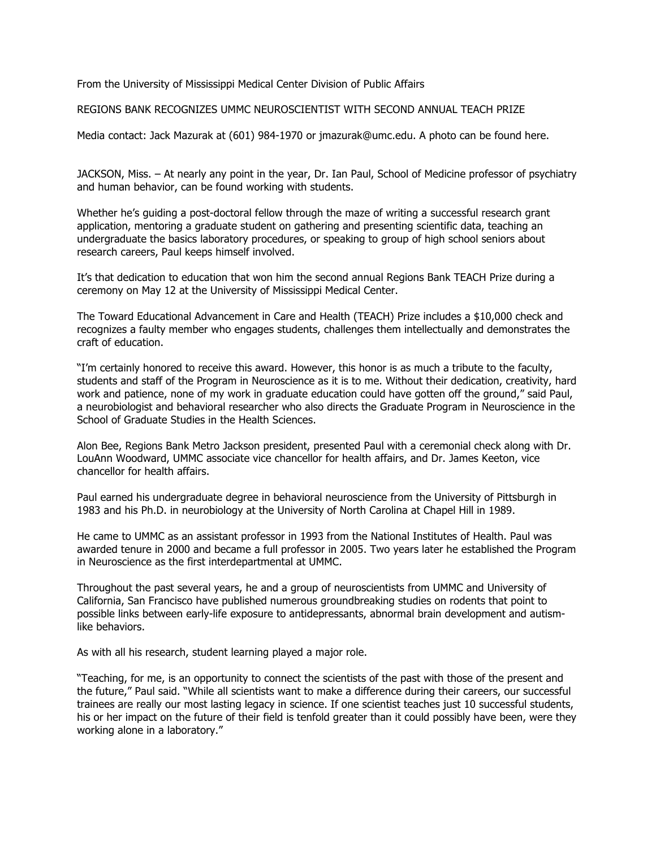From the University of Mississippi Medical Center Division of Public Affairs

REGIONS BANK RECOGNIZES UMMC NEUROSCIENTIST WITH SECOND ANNUAL TEACH PRIZE

Media contact: Jack Mazurak at (601) 984-1970 or jmazurak@umc.edu. A photo can be found here.

JACKSON, Miss. – At nearly any point in the year, Dr. Ian Paul, School of Medicine professor of psychiatry and human behavior, can be found working with students.

Whether he's guiding a post-doctoral fellow through the maze of writing a successful research grant application, mentoring a graduate student on gathering and presenting scientific data, teaching an undergraduate the basics laboratory procedures, or speaking to group of high school seniors about research careers, Paul keeps himself involved.

It's that dedication to education that won him the second annual Regions Bank TEACH Prize during a ceremony on May 12 at the University of Mississippi Medical Center.

The Toward Educational Advancement in Care and Health (TEACH) Prize includes a \$10,000 check and recognizes a faulty member who engages students, challenges them intellectually and demonstrates the craft of education.

"I'm certainly honored to receive this award. However, this honor is as much a tribute to the faculty, students and staff of the Program in Neuroscience as it is to me. Without their dedication, creativity, hard work and patience, none of my work in graduate education could have gotten off the ground," said Paul, a neurobiologist and behavioral researcher who also directs the Graduate Program in Neuroscience in the School of Graduate Studies in the Health Sciences.

Alon Bee, Regions Bank Metro Jackson president, presented Paul with a ceremonial check along with Dr. LouAnn Woodward, UMMC associate vice chancellor for health affairs, and Dr. James Keeton, vice chancellor for health affairs.

Paul earned his undergraduate degree in behavioral neuroscience from the University of Pittsburgh in 1983 and his Ph.D. in neurobiology at the University of North Carolina at Chapel Hill in 1989.

He came to UMMC as an assistant professor in 1993 from the National Institutes of Health. Paul was awarded tenure in 2000 and became a full professor in 2005. Two years later he established the Program in Neuroscience as the first interdepartmental at UMMC.

Throughout the past several years, he and a group of neuroscientists from UMMC and University of California, San Francisco have published numerous groundbreaking studies on rodents that point to possible links between early-life exposure to antidepressants, abnormal brain development and autismlike behaviors.

As with all his research, student learning played a major role.

"Teaching, for me, is an opportunity to connect the scientists of the past with those of the present and the future," Paul said. "While all scientists want to make a difference during their careers, our successful trainees are really our most lasting legacy in science. If one scientist teaches just 10 successful students, his or her impact on the future of their field is tenfold greater than it could possibly have been, were they working alone in a laboratory."